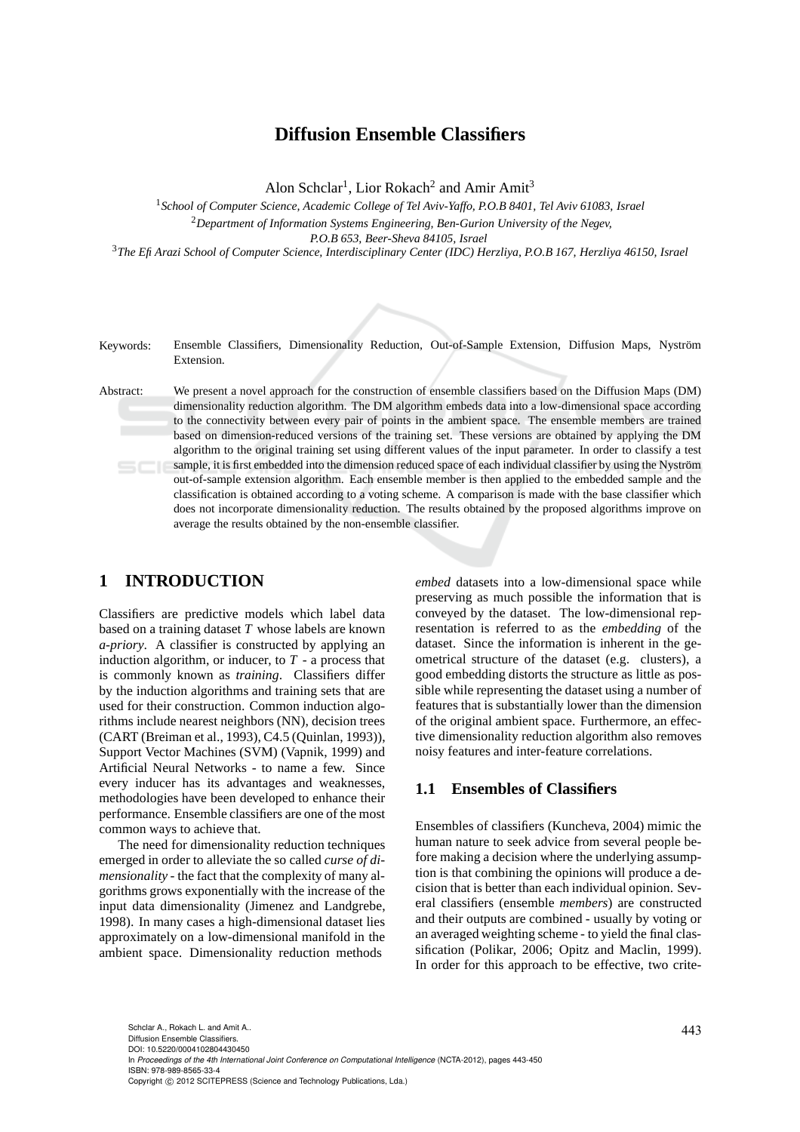## **Diffusion Ensemble Classifiers**

Alon Schclar<sup>1</sup>, Lior Rokach<sup>2</sup> and Amir Amit<sup>3</sup>

<sup>1</sup>*School of Computer Science, Academic College of Tel Aviv-Yaffo, P.O.B 8401, Tel Aviv 61083, Israel* <sup>2</sup>*Department of Information Systems Engineering, Ben-Gurion University of the Negev, P.O.B 653, Beer-Sheva 84105, Israel*

<sup>3</sup>*The Efi Arazi School of Computer Science, Interdisciplinary Center (IDC) Herzliya, P.O.B 167, Herzliya 46150, Israel*



Keywords: Ensemble Classifiers, Dimensionality Reduction, Out-of-Sample Extension, Diffusion Maps, Nyström Extension.

Abstract: We present a novel approach for the construction of ensemble classifiers based on the Diffusion Maps (DM) dimensionality reduction algorithm. The DM algorithm embeds data into a low-dimensional space according to the connectivity between every pair of points in the ambient space. The ensemble members are trained based on dimension-reduced versions of the training set. These versions are obtained by applying the DM algorithm to the original training set using different values of the input parameter. In order to classify a test sample, it is first embedded into the dimension reduced space of each individual classifier by using the Nyström out-of-sample extension algorithm. Each ensemble member is then applied to the embedded sample and the classification is obtained according to a voting scheme. A comparison is made with the base classifier which does not incorporate dimensionality reduction. The results obtained by the proposed algorithms improve on average the results obtained by the non-ensemble classifier.

## **1 INTRODUCTION**

Classifiers are predictive models which label data based on a training dataset *T* whose labels are known *a-priory*. A classifier is constructed by applying an induction algorithm, or inducer, to *T* - a process that is commonly known as *training*. Classifiers differ by the induction algorithms and training sets that are used for their construction. Common induction algorithms include nearest neighbors (NN), decision trees (CART (Breiman et al., 1993), C4.5 (Quinlan, 1993)), Support Vector Machines (SVM) (Vapnik, 1999) and Artificial Neural Networks - to name a few. Since every inducer has its advantages and weaknesses, methodologies have been developed to enhance their performance. Ensemble classifiers are one of the most common ways to achieve that.

The need for dimensionality reduction techniques emerged in order to alleviate the so called *curse of dimensionality* - the fact that the complexity of many algorithms grows exponentially with the increase of the input data dimensionality (Jimenez and Landgrebe, 1998). In many cases a high-dimensional dataset lies approximately on a low-dimensional manifold in the ambient space. Dimensionality reduction methods

*embed* datasets into a low-dimensional space while preserving as much possible the information that is conveyed by the dataset. The low-dimensional representation is referred to as the *embedding* of the dataset. Since the information is inherent in the geometrical structure of the dataset (e.g. clusters), a good embedding distorts the structure as little as possible while representing the dataset using a number of features that is substantially lower than the dimension of the original ambient space. Furthermore, an effective dimensionality reduction algorithm also removes noisy features and inter-feature correlations.

### **1.1 Ensembles of Classifiers**

Ensembles of classifiers (Kuncheva, 2004) mimic the human nature to seek advice from several people before making a decision where the underlying assumption is that combining the opinions will produce a decision that is better than each individual opinion. Several classifiers (ensemble *members*) are constructed and their outputs are combined - usually by voting or an averaged weighting scheme - to yield the final classification (Polikar, 2006; Opitz and Maclin, 1999). In order for this approach to be effective, two crite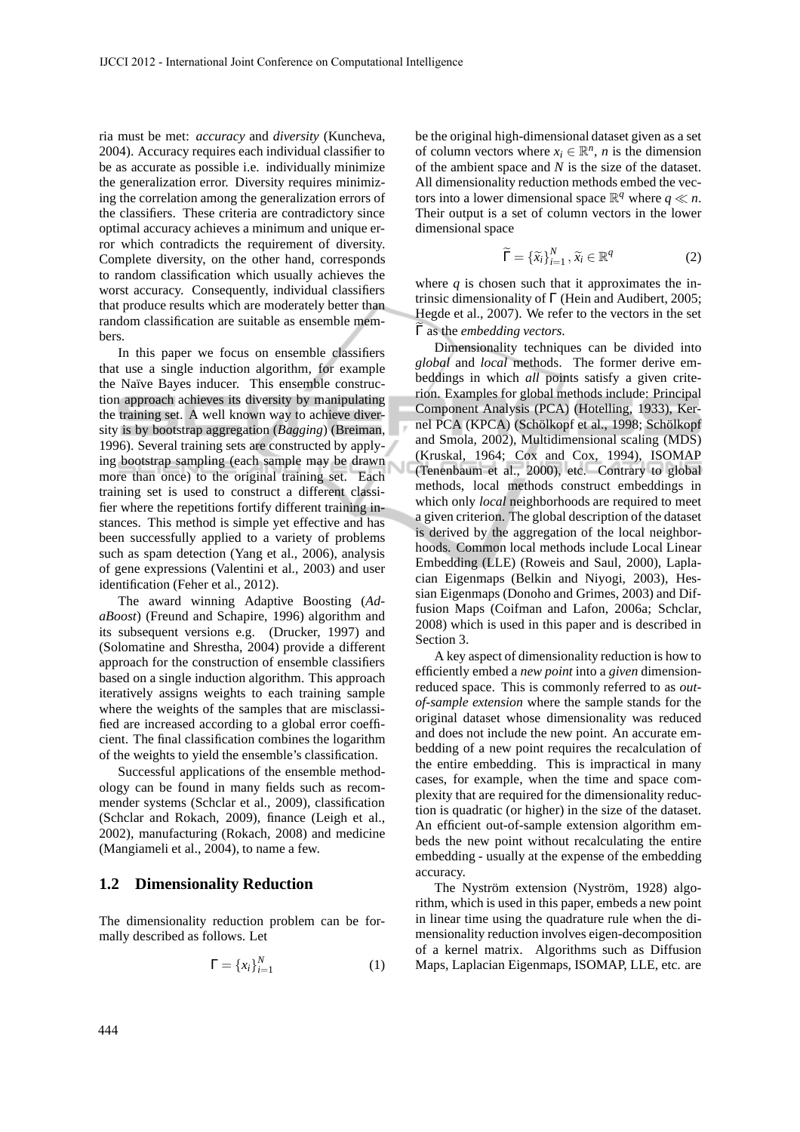ria must be met: *accuracy* and *diversity* (Kuncheva, 2004). Accuracy requires each individual classifier to be as accurate as possible i.e. individually minimize the generalization error. Diversity requires minimizing the correlation among the generalization errors of the classifiers. These criteria are contradictory since optimal accuracy achieves a minimum and unique error which contradicts the requirement of diversity. Complete diversity, on the other hand, corresponds to random classification which usually achieves the worst accuracy. Consequently, individual classifiers that produce results which are moderately better than random classification are suitable as ensemble members.

In this paper we focus on ensemble classifiers that use a single induction algorithm, for example the Naïve Bayes inducer. This ensemble construction approach achieves its diversity by manipulating the training set. A well known way to achieve diversity is by bootstrap aggregation (*Bagging*) (Breiman, 1996). Several training sets are constructed by applying bootstrap sampling (each sample may be drawn more than once) to the original training set. Each training set is used to construct a different classifier where the repetitions fortify different training instances. This method is simple yet effective and has been successfully applied to a variety of problems such as spam detection (Yang et al., 2006), analysis of gene expressions (Valentini et al., 2003) and user identification (Feher et al., 2012).

The award winning Adaptive Boosting (*AdaBoost*) (Freund and Schapire, 1996) algorithm and its subsequent versions e.g. (Drucker, 1997) and (Solomatine and Shrestha, 2004) provide a different approach for the construction of ensemble classifiers based on a single induction algorithm. This approach iteratively assigns weights to each training sample where the weights of the samples that are misclassified are increased according to a global error coefficient. The final classification combines the logarithm of the weights to yield the ensemble's classification.

Successful applications of the ensemble methodology can be found in many fields such as recommender systems (Schclar et al., 2009), classification (Schclar and Rokach, 2009), finance (Leigh et al., 2002), manufacturing (Rokach, 2008) and medicine (Mangiameli et al., 2004), to name a few.

### **1.2 Dimensionality Reduction**

The dimensionality reduction problem can be formally described as follows. Let

$$
\Gamma = \{x_i\}_{i=1}^N \tag{1}
$$

be the original high-dimensional dataset given as a set of column vectors where  $x_i \in \mathbb{R}^n$ , *n* is the dimension of the ambient space and *N* is the size of the dataset. All dimensionality reduction methods embed the vectors into a lower dimensional space  $\mathbb{R}^q$  where  $q \ll n$ . Their output is a set of column vectors in the lower dimensional space

$$
\widetilde{\Gamma} = \{\widetilde{x}_i\}_{i=1}^N, \widetilde{x}_i \in \mathbb{R}^q
$$
 (2)

where  $q$  is chosen such that it approximates the intrinsic dimensionality of Γ (Hein and Audibert, 2005; Hegde et al., 2007). We refer to the vectors in the set Γas the *embedding vectors*.

Dimensionality techniques can be divided into *global* and *local* methods. The former derive embeddings in which *all* points satisfy a given criterion. Examples for global methods include: Principal Component Analysis (PCA) (Hotelling, 1933), Kernel PCA (KPCA) (Schölkopf et al., 1998; Schölkopf and Smola, 2002), Multidimensional scaling (MDS) (Kruskal, 1964; Cox and Cox, 1994), ISOMAP (Tenenbaum et al., 2000), etc. Contrary to global methods, local methods construct embeddings in which only *local* neighborhoods are required to meet a given criterion. The global description of the dataset is derived by the aggregation of the local neighborhoods. Common local methods include Local Linear Embedding (LLE) (Roweis and Saul, 2000), Laplacian Eigenmaps (Belkin and Niyogi, 2003), Hessian Eigenmaps (Donoho and Grimes, 2003) and Diffusion Maps (Coifman and Lafon, 2006a; Schclar, 2008) which is used in this paper and is described in Section 3.

A key aspect of dimensionality reduction is how to efficiently embed a *new point* into a *given* dimensionreduced space. This is commonly referred to as *outof-sample extension* where the sample stands for the original dataset whose dimensionality was reduced and does not include the new point. An accurate embedding of a new point requires the recalculation of the entire embedding. This is impractical in many cases, for example, when the time and space complexity that are required for the dimensionality reduction is quadratic (or higher) in the size of the dataset. An efficient out-of-sample extension algorithm embeds the new point without recalculating the entire embedding - usually at the expense of the embedding accuracy.

The Nyström extension (Nyström, 1928) algorithm, which is used in this paper, embeds a new point in linear time using the quadrature rule when the dimensionality reduction involves eigen-decomposition of a kernel matrix. Algorithms such as Diffusion Maps, Laplacian Eigenmaps, ISOMAP, LLE, etc. are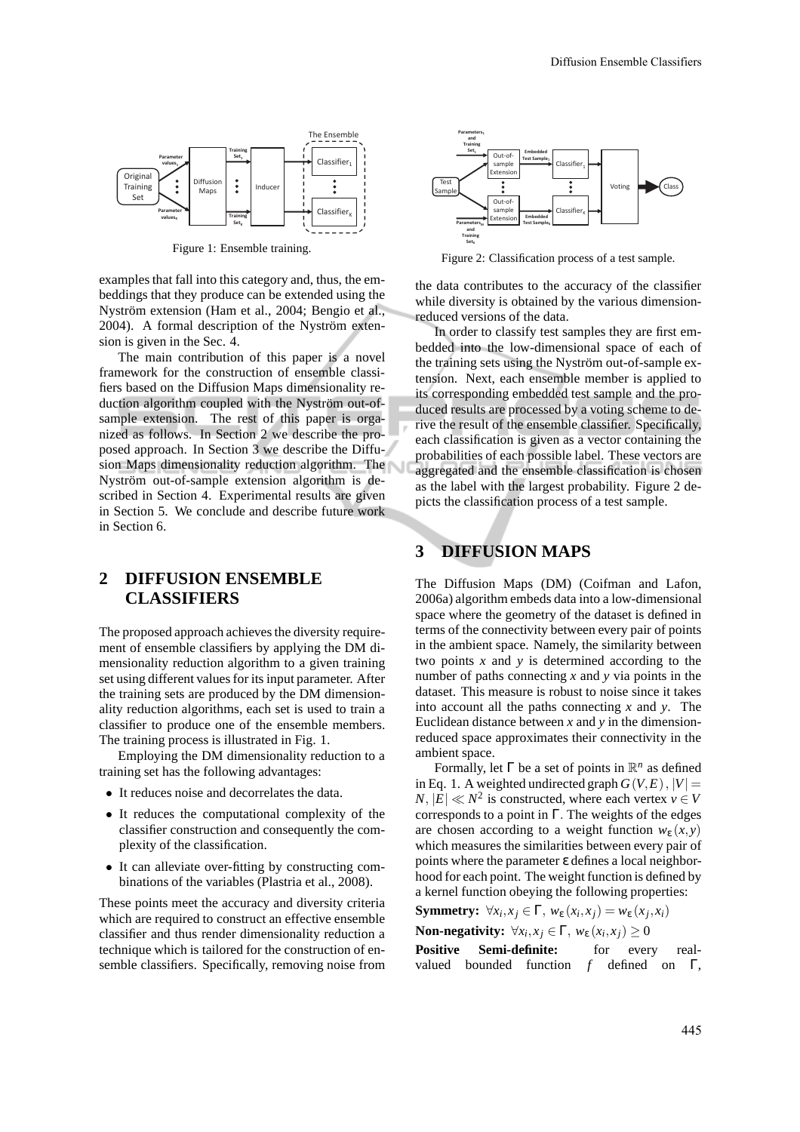

Figure 1: Ensemble training.

examples that fall into this category and, thus, the embeddings that they produce can be extended using the Nyström extension (Ham et al., 2004; Bengio et al., 2004). A formal description of the Nyström extension is given in the Sec. 4.

The main contribution of this paper is a novel framework for the construction of ensemble classifiers based on the Diffusion Maps dimensionality reduction algorithm coupled with the Nyström out-ofsample extension. The rest of this paper is organized as follows. In Section 2 we describe the proposed approach. In Section 3 we describe the Diffusion Maps dimensionality reduction algorithm. The Nyström out-of-sample extension algorithm is described in Section 4. Experimental results are given in Section 5. We conclude and describe future work in Section 6.

### **2 DIFFUSION ENSEMBLE CLASSIFIERS**

The proposed approach achieves the diversity requirement of ensemble classifiers by applying the DM dimensionality reduction algorithm to a given training set using different values for its input parameter. After the training sets are produced by the DM dimensionality reduction algorithms, each set is used to train a classifier to produce one of the ensemble members. The training process is illustrated in Fig. 1.

Employing the DM dimensionality reduction to a training set has the following advantages:

- It reduces noise and decorrelates the data.
- It reduces the computational complexity of the classifier construction and consequently the complexity of the classification.
- It can alleviate over-fitting by constructing combinations of the variables (Plastria et al., 2008).

These points meet the accuracy and diversity criteria which are required to construct an effective ensemble classifier and thus render dimensionality reduction a technique which is tailored for the construction of ensemble classifiers. Specifically, removing noise from



Figure 2: Classification process of a test sample.

the data contributes to the accuracy of the classifier while diversity is obtained by the various dimensionreduced versions of the data.

In order to classify test samples they are first embedded into the low-dimensional space of each of the training sets using the Nyström out-of-sample extension. Next, each ensemble member is applied to its corresponding embedded test sample and the produced results are processed by a voting scheme to derive the result of the ensemble classifier. Specifically, each classification is given as a vector containing the probabilities of each possible label. These vectors are aggregated and the ensemble classification is chosen as the label with the largest probability. Figure 2 depicts the classification process of a test sample.

## **3 DIFFUSION MAPS**

The Diffusion Maps (DM) (Coifman and Lafon, 2006a) algorithm embeds data into a low-dimensional space where the geometry of the dataset is defined in terms of the connectivity between every pair of points in the ambient space. Namely, the similarity between two points *x* and *y* is determined according to the number of paths connecting *x* and *y* via points in the dataset. This measure is robust to noise since it takes into account all the paths connecting *x* and *y*. The Euclidean distance between *x* and *y* in the dimensionreduced space approximates their connectivity in the ambient space.

Formally, let  $\Gamma$  be a set of points in  $\mathbb{R}^n$  as defined in Eq. 1. A weighted undirected graph  $G(V, E)$ ,  $|V| =$  $N, |\mathbf{E}| \ll N^2$  is constructed, where each vertex  $v \in V$ corresponds to a point in Γ. The weights of the edges are chosen according to a weight function  $w_{\varepsilon}(x, y)$ which measures the similarities between every pair of points where the parameter ε defines a local neighborhood for each point. The weight function is defined by a kernel function obeying the following properties:

**Symmetry:**  $\forall x_i, x_j \in \Gamma$ ,  $w_{\varepsilon}(x_i, x_j) = w_{\varepsilon}(x_j, x_i)$ 

**Non-negativity:**  $\forall x_i, x_j \in \Gamma$ ,  $w_{\varepsilon}(x_i, x_j) \ge 0$ 

Positive Semi-definite: for every realvalued bounded function *f* defined on Γ,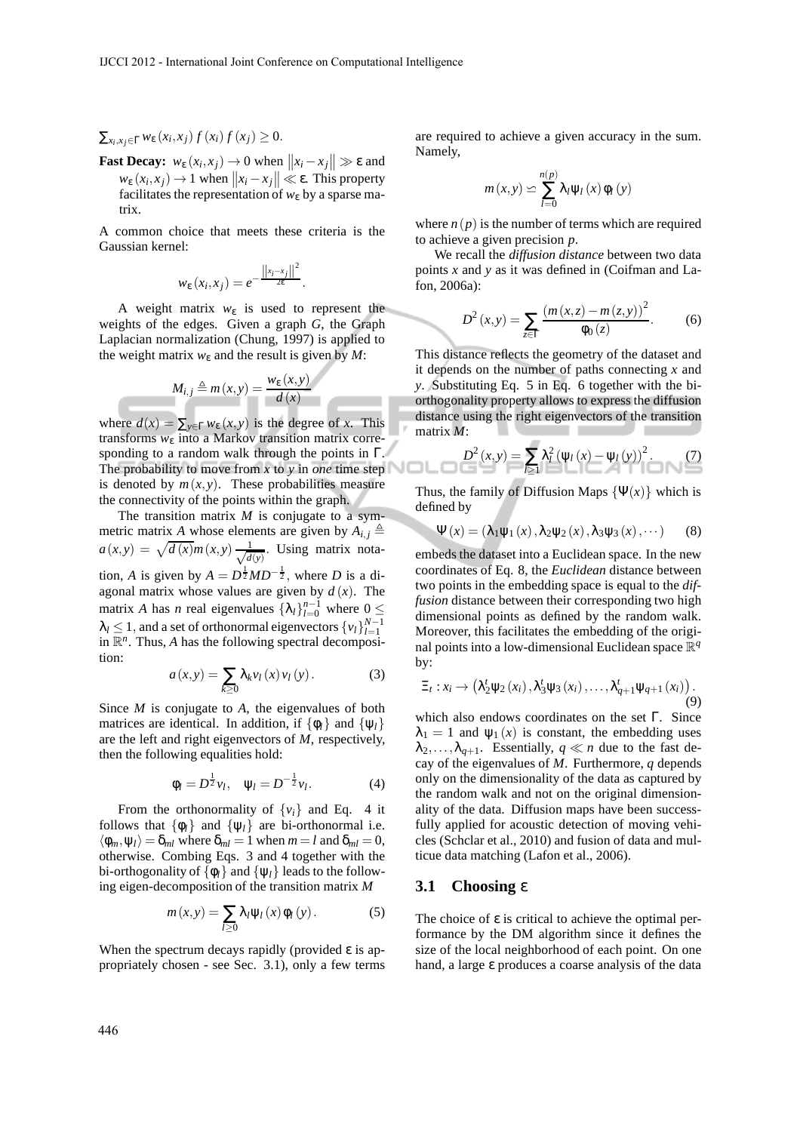## $\sum_{x_i, x_j \in \Gamma} w_{\varepsilon} (x_i, x_j) f (x_i) f (x_j) ≥ 0.$

**Fast Decay:**  $w_{\varepsilon}(x_i, x_j) \rightarrow 0$  when  $||x_i - x_j|| \gg \varepsilon$  and  $w_{\varepsilon}(x_i, x_j) \rightarrow 1$  when  $||x_i - x_j|| \ll \varepsilon$ . This property facilitates the representation of  $w_{\varepsilon}$  by a sparse matrix.

A common choice that meets these criteria is the Gaussian kernel:

$$
w_{\varepsilon}(x_i,x_j)=e^{-\frac{||x_i-x_j||^2}{2\varepsilon}}.
$$

A weight matrix *w*<sup>ε</sup> is used to represent the weights of the edges. Given a graph *G*, the Graph Laplacian normalization (Chung, 1997) is applied to the weight matrix  $w_{\varepsilon}$  and the result is given by *M*:

$$
M_{i,j} \triangleq m(x,y) = \frac{w_{\varepsilon}(x,y)}{d(x)}
$$

where  $d(x) = \sum_{y \in \Gamma} w_{\varepsilon}(x, y)$  is the degree of *x*. This transforms *w*<sup>ε</sup> into a Markov transition matrix corresponding to a random walk through the points in Γ. The probability to move from  $x$  to  $y$  in *one* time step is denoted by  $m(x, y)$ . These probabilities measure the connectivity of the points within the graph.

The transition matrix *M* is conjugate to a symmetric matrix *A* whose elements are given by  $A_{i,j} \triangleq$  $a(x, y) = \sqrt{d(x)}m(x, y) \frac{1}{\sqrt{d}}$  $\frac{1}{d(y)}$ . Using matrix notation, *A* is given by  $A = D^{\frac{1}{2}}MD^{-\frac{1}{2}}$ , where *D* is a diagonal matrix whose values are given by  $d(x)$ . The matrix *A* has *n* real eigenvalues  $\{\lambda_l\}_{l=0}^{n-1}$  where  $0 \leq$  $\lambda_l \leq 1$ , and a set of orthonormal eigenvectors  $\{v_l\}_{l=1}^{N-1}$ in  $\mathbb{R}^n$ . Thus, *A* has the following spectral decomposition:

$$
a(x,y) = \sum_{k\geq 0} \lambda_k v_l(x) v_l(y).
$$
 (3)

Since *M* is conjugate to *A*, the eigenvalues of both matrices are identical. In addition, if  $\{\phi_l\}$  and  $\{\psi_l\}$ are the left and right eigenvectors of *M*, respectively, then the following equalities hold:

$$
\phi_l = D^{\frac{1}{2}} v_l, \quad \psi_l = D^{-\frac{1}{2}} v_l. \tag{4}
$$

From the orthonormality of  $\{v_i\}$  and Eq. 4 it follows that  $\{\phi_l\}$  and  $\{\psi_l\}$  are bi-orthonormal i.e.  $\langle \phi_m, \psi_l \rangle = \delta_{ml}$  where  $\delta_{ml} = 1$  when  $m = l$  and  $\delta_{ml} = 0$ , otherwise. Combing Eqs. 3 and 4 together with the bi-orthogonality of  $\{\phi_l\}$  and  $\{\psi_l\}$  leads to the following eigen-decomposition of the transition matrix *M*

$$
m(x,y) = \sum_{l\geq 0} \lambda_l \psi_l(x) \phi_l(y).
$$
 (5)

When the spectrum decays rapidly (provided  $\varepsilon$  is appropriately chosen - see Sec. 3.1), only a few terms are required to achieve a given accuracy in the sum. Namely,

$$
m(x, y) \simeq \sum_{l=0}^{n(p)} \lambda_l \psi_l(x) \phi_l(y)
$$

where  $n(p)$  is the number of terms which are required to achieve a given precision *p*.

We recall the *diffusion distance* between two data points *x* and *y* as it was defined in (Coifman and Lafon, 2006a):

$$
D^{2}(x,y) = \sum_{z \in \Gamma} \frac{(m(x,z) - m(z,y))^{2}}{\phi_{0}(z)}.
$$
 (6)

This distance reflects the geometry of the dataset and it depends on the number of paths connecting *x* and *y*. Substituting Eq. 5 in Eq. 6 together with the biorthogonality property allows to express the diffusion distance using the right eigenvectors of the transition matrix *M*:

$$
D^{2}(x,y) = \sum_{l \geq 1} \lambda_{l}^{2} (\psi_{l}(x) - \psi_{l}(y))^{2}.
$$
 (7)

Thus, the family of Diffusion Maps  $\{\Psi(x)\}\$  which is defined by

$$
\Psi(x) = (\lambda_1 \psi_1(x), \lambda_2 \psi_2(x), \lambda_3 \psi_3(x), \cdots)
$$
 (8)

embeds the dataset into a Euclidean space. In the new coordinates of Eq. 8, the *Euclidean* distance between two points in the embedding space is equal to the *diffusion* distance between their corresponding two high dimensional points as defined by the random walk. Moreover, this facilitates the embedding of the original points into a low-dimensional Euclidean space  $\mathbb{R}^q$ by:

$$
\Xi_t: x_i \to \left(\lambda_2^t \Psi_2(x_i), \lambda_3^t \Psi_3(x_i), \ldots, \lambda_{q+1}^t \Psi_{q+1}(x_i)\right).
$$
\n(9)

which also endows coordinates on the set Γ. Since  $\lambda_1 = 1$  and  $\psi_1(x)$  is constant, the embedding uses  $\lambda_2, \ldots, \lambda_{q+1}$ . Essentially,  $q \ll n$  due to the fast decay of the eigenvalues of *M*. Furthermore, *q* depends only on the dimensionality of the data as captured by the random walk and not on the original dimensionality of the data. Diffusion maps have been successfully applied for acoustic detection of moving vehicles (Schclar et al., 2010) and fusion of data and multicue data matching (Lafon et al., 2006).

#### **3.1 Choosing** ε

The choice of  $\varepsilon$  is critical to achieve the optimal performance by the DM algorithm since it defines the size of the local neighborhood of each point. On one hand, a large ε produces a coarse analysis of the data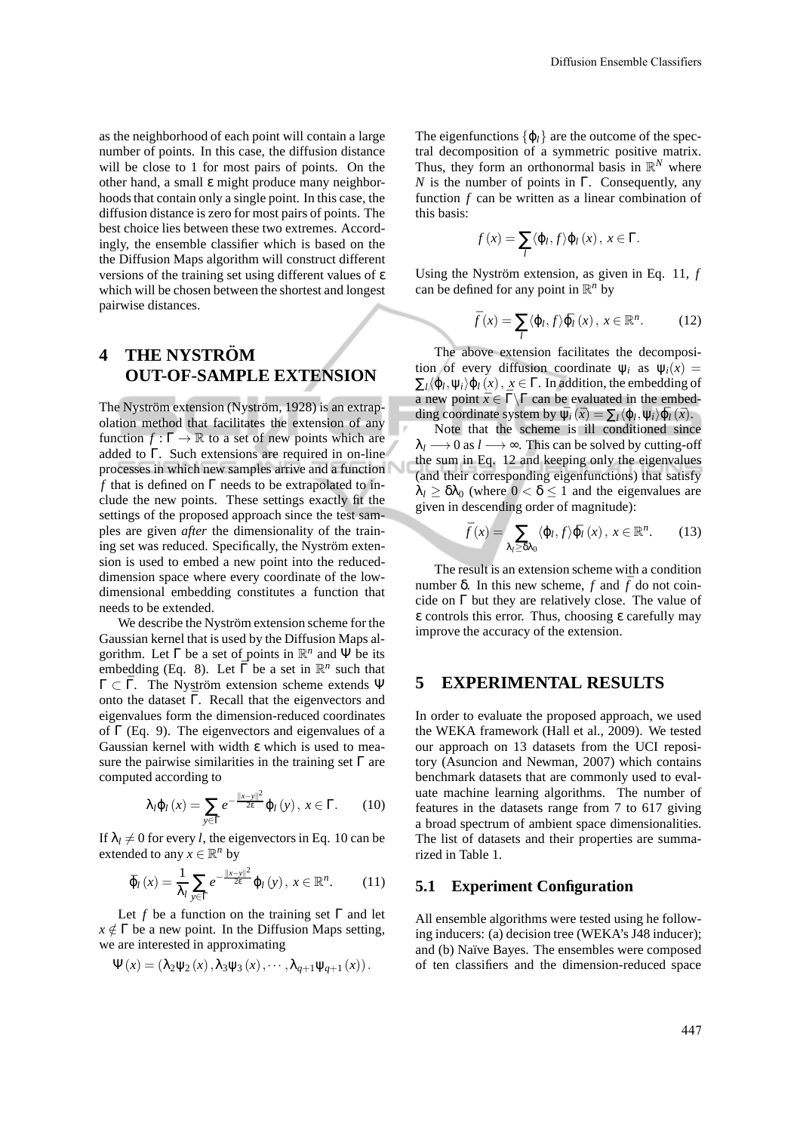as the neighborhood of each point will contain a large number of points. In this case, the diffusion distance will be close to 1 for most pairs of points. On the other hand, a small ε might produce many neighborhoods that contain only a single point. In this case, the diffusion distance is zero for most pairs of points. The best choice lies between these two extremes. Accordingly, the ensemble classifier which is based on the the Diffusion Maps algorithm will construct different versions of the training set using different values of ε which will be chosen between the shortest and longest pairwise distances.

# **4 THE NYSTRÖM OUT-OF-SAMPLE EXTENSION**

The Nyström extension (Nyström, 1928) is an extrapolation method that facilitates the extension of any function  $f : \Gamma \to \mathbb{R}$  to a set of new points which are added to Γ. Such extensions are required in on-line processes in which new samples arrive and a function *f* that is defined on Γ needs to be extrapolated to include the new points. These settings exactly fit the settings of the proposed approach since the test samples are given *after* the dimensionality of the training set was reduced. Specifically, the Nyström extension is used to embed a new point into the reduceddimension space where every coordinate of the lowdimensional embedding constitutes a function that needs to be extended.

We describe the Nyström extension scheme for the Gaussian kernel that is used by the Diffusion Maps algorithm. Let  $\Gamma$  be a set of points in  $\mathbb{R}^n$  and  $\Psi$  be its embedding (Eq. 8). Let  $\overline{\Gamma}$  be a set in  $\mathbb{R}^n$  such that  $\Gamma \subset \overline{\Gamma}$ . The Nyström extension scheme extends Ψ onto the dataset  $\overline{\Gamma}$ . Recall that the eigenvectors and eigenvalues form the dimension-reduced coordinates of  $\Gamma$  (Eq. 9). The eigenvectors and eigenvalues of a Gaussian kernel with width ε which is used to measure the pairwise similarities in the training set  $\Gamma$  are computed according to

$$
\lambda_{l}\varphi_{l}\left(x\right)=\sum_{y\in\Gamma}e^{-\frac{\left\Vert x-y\right\Vert ^{2}}{2\epsilon}}\varphi_{l}\left(y\right),\,x\in\Gamma.\qquad(10)
$$

If  $\lambda_l \neq 0$  for every *l*, the eigenvectors in Eq. 10 can be extended to any  $x \in \mathbb{R}^n$  by

$$
\bar{\varphi}_{l}\left(x\right) = \frac{1}{\lambda_{l}} \sum_{y \in \Gamma} e^{-\frac{\left\|x-y\right\|^{2}}{2\varepsilon}} \varphi_{l}\left(y\right), \ x \in \mathbb{R}^{n}.\tag{11}
$$

Let *f* be a function on the training set  $\Gamma$  and let  $x \notin \Gamma$  be a new point. In the Diffusion Maps setting, we are interested in approximating

$$
\Psi(x) = (\lambda_2 \psi_2(x), \lambda_3 \psi_3(x), \cdots, \lambda_{q+1} \psi_{q+1}(x)).
$$

The eigenfunctions  $\{\varphi_l\}$  are the outcome of the spectral decomposition of a symmetric positive matrix. Thus, they form an orthonormal basis in  $\mathbb{R}^N$  where *N* is the number of points in Γ. Consequently, any function *f* can be written as a linear combination of this basis:

$$
f(x) = \sum_{l} \langle \varphi_l, f \rangle \varphi_l(x), x \in \Gamma.
$$

Using the Nyström extension, as given in Eq. 11,  $f$ can be defined for any point in  $\mathbb{R}^n$  by

$$
\bar{f}(x) = \sum_{l} \langle \varphi_{l}, f \rangle \bar{\varphi}_{l}(x), \, x \in \mathbb{R}^{n}.
$$
 (12)

The above extension facilitates the decomposition of every diffusion coordinate  $\psi_i$  as  $\psi_i(x)$  =  $\Sigma_l \langle \varphi_l, \psi_i \rangle \varphi_l(x), x \in \Gamma$ . In addition, the embedding of a new point  $\bar{x} \in \bar{\Gamma} \backslash \Gamma$  can be evaluated in the embedding coordinate system by  $\bar{\psi}_i(\bar{x}) = \sum_l \langle \varphi_l, \psi_i \rangle \bar{\varphi}_l(\bar{x})$ .

Note that the scheme is ill conditioned since  $\lambda_l \longrightarrow 0$  as  $l \longrightarrow \infty$ . This can be solved by cutting-off the sum in Eq. 12 and keeping only the eigenvalues (and their corresponding eigenfunctions) that satisfy  $\lambda_l \geq \delta \lambda_0$  (where  $0 < \delta \leq 1$  and the eigenvalues are given in descending order of magnitude):

$$
\bar{f}(x) = \sum_{\lambda_l \ge \delta\lambda_0} \langle \varphi_l, f \rangle \bar{\varphi}_l(x), \, x \in \mathbb{R}^n. \tag{13}
$$

The result is an extension scheme with a condition number δ. In this new scheme, *f* and  $\bar{f}$  do not coincide on  $\Gamma$  but they are relatively close. The value of ε controls this error. Thus, choosing ε carefully may improve the accuracy of the extension.

### **5 EXPERIMENTAL RESULTS**

In order to evaluate the proposed approach, we used the WEKA framework (Hall et al., 2009). We tested our approach on 13 datasets from the UCI repository (Asuncion and Newman, 2007) which contains benchmark datasets that are commonly used to evaluate machine learning algorithms. The number of features in the datasets range from 7 to 617 giving a broad spectrum of ambient space dimensionalities. The list of datasets and their properties are summarized in Table 1.

#### **5.1 Experiment Configuration**

All ensemble algorithms were tested using he following inducers: (a) decision tree (WEKA's J48 inducer); and (b) Naïve Bayes. The ensembles were composed of ten classifiers and the dimension-reduced space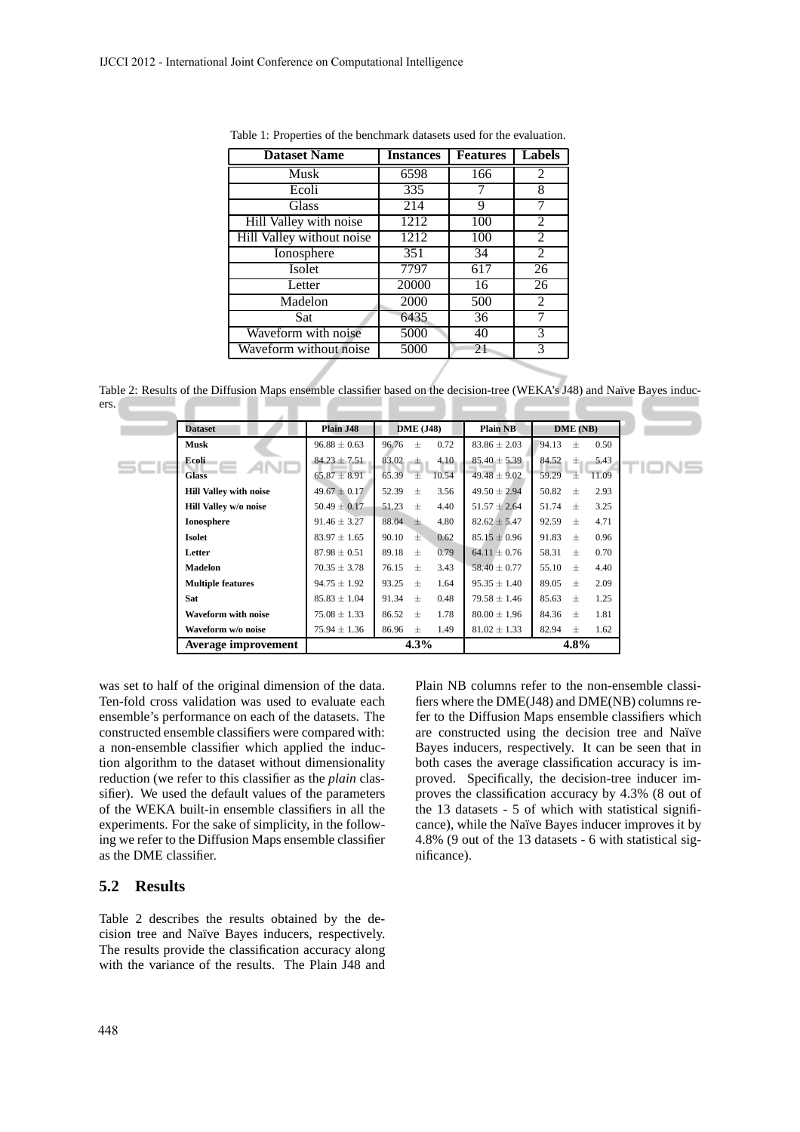| <b>Instances</b> | <b>Features</b> | <b>Labels</b>  |
|------------------|-----------------|----------------|
| 6598             | 166             | 2              |
| 335              |                 | 8              |
| 214              | 9               | 7              |
| 1212             | 100             | 2              |
| 1212             | 100             | 2              |
| 351              | 34              | $\overline{2}$ |
| 7797             | 617             | 26             |
| 20000            | 16              | 26             |
| 2000             | 500             | 2              |
| 6435             | 36              | 7              |
| 5000             | 40              | 3              |
| 5000             | 21              | 3              |
|                  |                 |                |

Table 1: Properties of the benchmark datasets used for the evaluation.

Table 2: Results of the Diffusion Maps ensemble classifier based on the decision-tree (WEKA's J48) and Naïve Bayes inducers. - 1 ×

| <b>Dataset</b>                | Plain J48        | <b>DME</b> (J48)       | <b>Plain NB</b>  | DME(NB)                |
|-------------------------------|------------------|------------------------|------------------|------------------------|
| <b>Musk</b>                   | $96.88 \pm 0.63$ | 96.76<br>0.72<br>$\pm$ | $83.86 \pm 2.03$ | 94.13<br>0.50<br>$\pm$ |
| Ecoli                         | $84.23 \pm 7.51$ | 83.02 $\pm$<br>4.10    | $85.40 \pm 5.39$ | 84.52<br>5.43<br>土     |
| <b>Glass</b>                  | $65.87 \pm 8.91$ | 10.54<br>65.39<br>王    | $49.48 \pm 9.02$ | "士"<br>59.29<br>11.09  |
| <b>Hill Valley with noise</b> | $49.67 \pm 0.17$ | 52.39<br>3.56<br>$+$   | $49.50 \pm 2.94$ | 50.82<br>2.93<br>$+$   |
| Hill Valley w/o noise         | $50.49 \pm 0.17$ | 51.23<br>$+$<br>4.40   | $51.57 \pm 2.64$ | 51.74<br>3.25<br>$+$   |
| <b>Ionosphere</b>             | $91.46 \pm 3.27$ | 88.04<br>4.80<br>土.    | $82.62 \pm 5.47$ | 92.59<br>4.71<br>$+$   |
| <b>Isolet</b>                 | $83.97 \pm 1.65$ | 90.10<br>0.62<br>$\pm$ | $85.15 \pm 0.96$ | 91.83<br>0.96<br>$+$   |
| Letter                        | $87.98 \pm 0.51$ | 89.18<br>0.79<br>$+$   | $64.11 \pm 0.76$ | 58.31<br>0.70<br>$\pm$ |
| <b>Madelon</b>                | $70.35 \pm 3.78$ | 3.43<br>76.15<br>$+$   | $58.40 \pm 0.77$ | 55.10<br>4.40<br>$+$   |
| <b>Multiple features</b>      | $94.75 \pm 1.92$ | 93.25<br>$+$<br>1.64   | $95.35 \pm 1.40$ | 89.05<br>$+$<br>2.09   |
| <b>Sat</b>                    | $85.83 \pm 1.04$ | 91.34<br>0.48<br>$+$   | $79.58 \pm 1.46$ | 85.63<br>1.25<br>$+$   |
| <b>Waveform with noise</b>    | $75.08 \pm 1.33$ | 86.52 $\pm$<br>1.78    | $80.00 \pm 1.96$ | 84.36<br>1.81<br>$+$   |
| Waveform w/o noise            | $75.94 \pm 1.36$ | 86.96<br>1.49<br>$+$   | $81.02 \pm 1.33$ | 82.94<br>1.62<br>$\pm$ |
| Average improvement           |                  | 4.3%                   |                  | $4.8\%$                |

was set to half of the original dimension of the data. Ten-fold cross validation was used to evaluate each ensemble's performance on each of the datasets. The constructed ensemble classifiers were compared with: a non-ensemble classifier which applied the induction algorithm to the dataset without dimensionality reduction (we refer to this classifier as the *plain* classifier). We used the default values of the parameters of the WEKA built-in ensemble classifiers in all the experiments. For the sake of simplicity, in the following we refer to the Diffusion Maps ensemble classifier as the DME classifier.

### **5.2 Results**

Table 2 describes the results obtained by the decision tree and Naïve Bayes inducers, respectively. The results provide the classification accuracy along with the variance of the results. The Plain J48 and Plain NB columns refer to the non-ensemble classifiers where the DME(J48) and DME(NB) columns refer to the Diffusion Maps ensemble classifiers which are constructed using the decision tree and Naïve Bayes inducers, respectively. It can be seen that in both cases the average classification accuracy is improved. Specifically, the decision-tree inducer improves the classification accuracy by 4.3% (8 out of the 13 datasets - 5 of which with statistical significance), while the Naïve Bayes inducer improves it by 4.8% (9 out of the 13 datasets - 6 with statistical significance).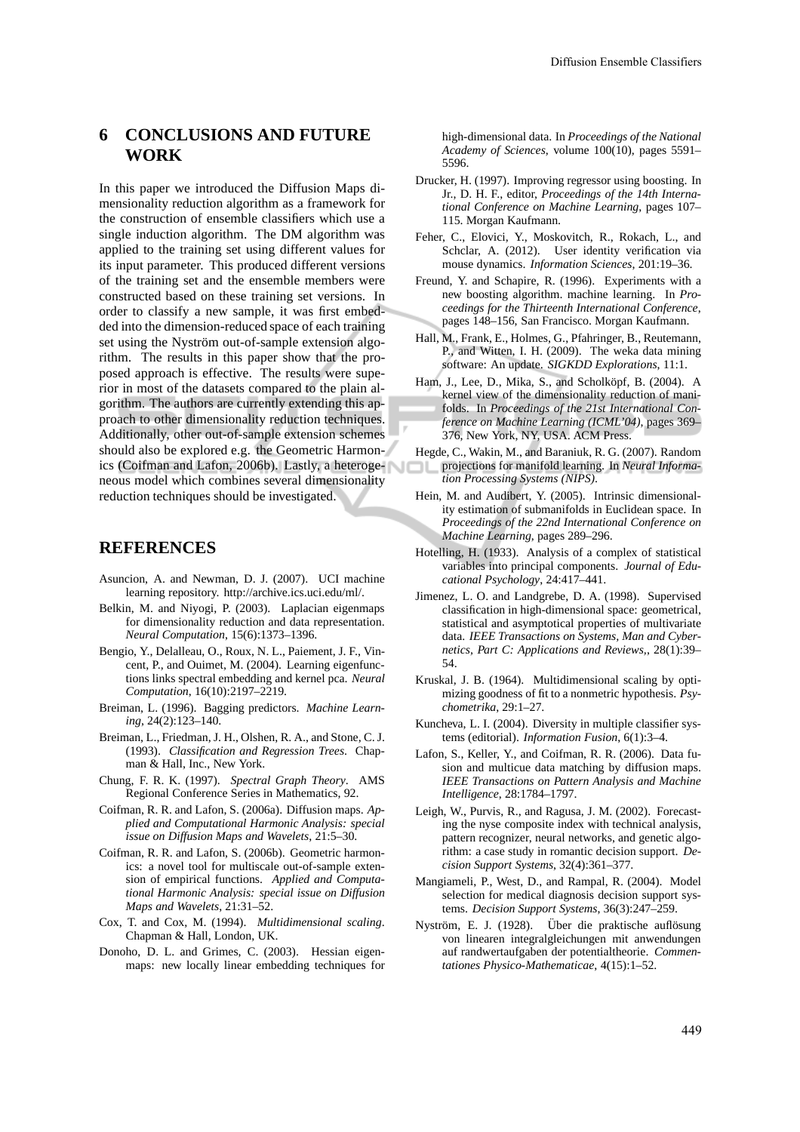## **6 CONCLUSIONS AND FUTURE WORK**

In this paper we introduced the Diffusion Maps dimensionality reduction algorithm as a framework for the construction of ensemble classifiers which use a single induction algorithm. The DM algorithm was applied to the training set using different values for its input parameter. This produced different versions of the training set and the ensemble members were constructed based on these training set versions. In order to classify a new sample, it was first embedded into the dimension-reduced space of each training set using the Nyström out-of-sample extension algorithm. The results in this paper show that the proposed approach is effective. The results were superior in most of the datasets compared to the plain algorithm. The authors are currently extending this approach to other dimensionality reduction techniques. Additionally, other out-of-sample extension schemes should also be explored e.g. the Geometric Harmonics (Coifman and Lafon, 2006b). Lastly, a heterogeneous model which combines several dimensionality reduction techniques should be investigated.

### **REFERENCES**

- Asuncion, A. and Newman, D. J. (2007). UCI machine learning repository. http://archive.ics.uci.edu/ml/.
- Belkin, M. and Niyogi, P. (2003). Laplacian eigenmaps for dimensionality reduction and data representation. *Neural Computation*, 15(6):1373–1396.
- Bengio, Y., Delalleau, O., Roux, N. L., Paiement, J. F., Vincent, P., and Ouimet, M. (2004). Learning eigenfunctions links spectral embedding and kernel pca. *Neural Computation*, 16(10):2197–2219.
- Breiman, L. (1996). Bagging predictors. *Machine Learning*, 24(2):123–140.
- Breiman, L., Friedman, J. H., Olshen, R. A., and Stone, C. J. (1993). *Classification and Regression Trees*. Chapman & Hall, Inc., New York.
- Chung, F. R. K. (1997). *Spectral Graph Theory*. AMS Regional Conference Series in Mathematics, 92.
- Coifman, R. R. and Lafon, S. (2006a). Diffusion maps. *Applied and Computational Harmonic Analysis: special issue on Diffusion Maps and Wavelets*, 21:5–30.
- Coifman, R. R. and Lafon, S. (2006b). Geometric harmonics: a novel tool for multiscale out-of-sample extension of empirical functions. *Applied and Computational Harmonic Analysis: special issue on Diffusion Maps and Wavelets*, 21:31–52.
- Cox, T. and Cox, M. (1994). *Multidimensional scaling*. Chapman & Hall, London, UK.
- Donoho, D. L. and Grimes, C. (2003). Hessian eigenmaps: new locally linear embedding techniques for

high-dimensional data. In *Proceedings of the National Academy of Sciences*, volume 100(10), pages 5591– 5596.

- Drucker, H. (1997). Improving regressor using boosting. In Jr., D. H. F., editor, *Proceedings of the 14th International Conference on Machine Learning*, pages 107– 115. Morgan Kaufmann.
- Feher, C., Elovici, Y., Moskovitch, R., Rokach, L., and Schclar, A. (2012). User identity verification via mouse dynamics. *Information Sciences*, 201:19–36.
- Freund, Y. and Schapire, R. (1996). Experiments with a new boosting algorithm. machine learning. In *Proceedings for the Thirteenth International Conference*, pages 148–156, San Francisco. Morgan Kaufmann.
- Hall, M., Frank, E., Holmes, G., Pfahringer, B., Reutemann, P., and Witten, I. H. (2009). The weka data mining software: An update. *SIGKDD Explorations*, 11:1.
- Ham, J., Lee, D., Mika, S., and Scholköpf, B. (2004). A kernel view of the dimensionality reduction of manifolds. In *Proceedings of the 21st International Conference on Machine Learning (ICML'04)*, pages 369– 376, New York, NY, USA. ACM Press.
- Hegde, C., Wakin, M., and Baraniuk, R. G. (2007). Random projections for manifold learning. In *Neural Information Processing Systems (NIPS)*.
- Hein, M. and Audibert, Y. (2005). Intrinsic dimensionality estimation of submanifolds in Euclidean space. In *Proceedings of the 22nd International Conference on Machine Learning*, pages 289–296.
- Hotelling, H. (1933). Analysis of a complex of statistical variables into principal components. *Journal of Educational Psychology*, 24:417–441.
- Jimenez, L. O. and Landgrebe, D. A. (1998). Supervised classification in high-dimensional space: geometrical, statistical and asymptotical properties of multivariate data. *IEEE Transactions on Systems, Man and Cybernetics, Part C: Applications and Reviews,*, 28(1):39– 54.
- Kruskal, J. B. (1964). Multidimensional scaling by optimizing goodness of fit to a nonmetric hypothesis. *Psychometrika*, 29:1–27.
- Kuncheva, L. I. (2004). Diversity in multiple classifier systems (editorial). *Information Fusion*, 6(1):3–4.
- Lafon, S., Keller, Y., and Coifman, R. R. (2006). Data fusion and multicue data matching by diffusion maps. *IEEE Transactions on Pattern Analysis and Machine Intelligence*, 28:1784–1797.
- Leigh, W., Purvis, R., and Ragusa, J. M. (2002). Forecasting the nyse composite index with technical analysis, pattern recognizer, neural networks, and genetic algorithm: a case study in romantic decision support. *Decision Support Systems*, 32(4):361–377.
- Mangiameli, P., West, D., and Rampal, R. (2004). Model selection for medical diagnosis decision support systems. *Decision Support Systems*, 36(3):247–259.
- Nyström, E. J. (1928). Über die praktische auflösung von linearen integralgleichungen mit anwendungen auf randwertaufgaben der potentialtheorie. *Commentationes Physico-Mathematicae*, 4(15):1–52.